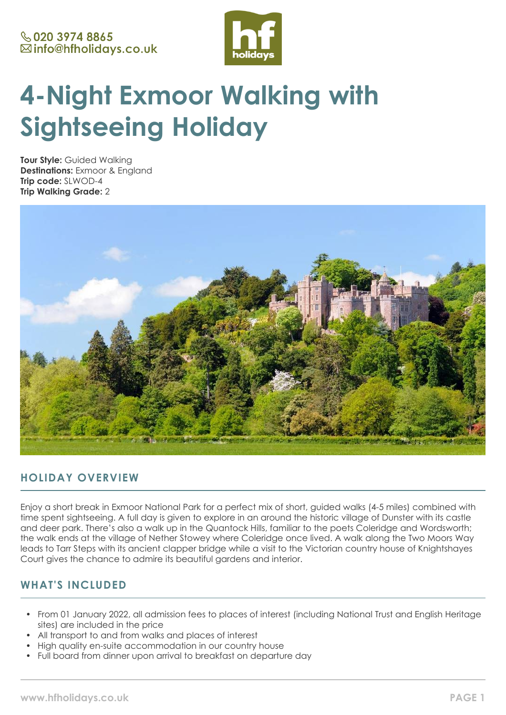

# **4-Night Exmoor Walking with Sightseeing Holiday**

**Tour Style:** Guided Walking **Destinations:** Exmoor & England **Trip code:** SLWOD-4 **Trip Walking Grade:** 2



# **HOLIDAY OVERVIEW**

Enjoy a short break in Exmoor National Park for a perfect mix of short, guided walks (4-5 miles) combined with time spent sightseeing. A full day is given to explore in an around the historic village of Dunster with its castle and deer park. There's also a walk up in the Quantock Hills, familiar to the poets Coleridge and Wordsworth; the walk ends at the village of Nether Stowey where Coleridge once lived. A walk along the Two Moors Way leads to Tarr Steps with its ancient clapper bridge while a visit to the Victorian country house of Knightshayes Court gives the chance to admire its beautiful gardens and interior.

# **WHAT'S INCLUDED**

- From 01 January 2022, all admission fees to places of interest (including National Trust and English Heritage sites) are included in the price
- All transport to and from walks and places of interest
- High quality en-suite accommodation in our country house
- Full board from dinner upon arrival to breakfast on departure day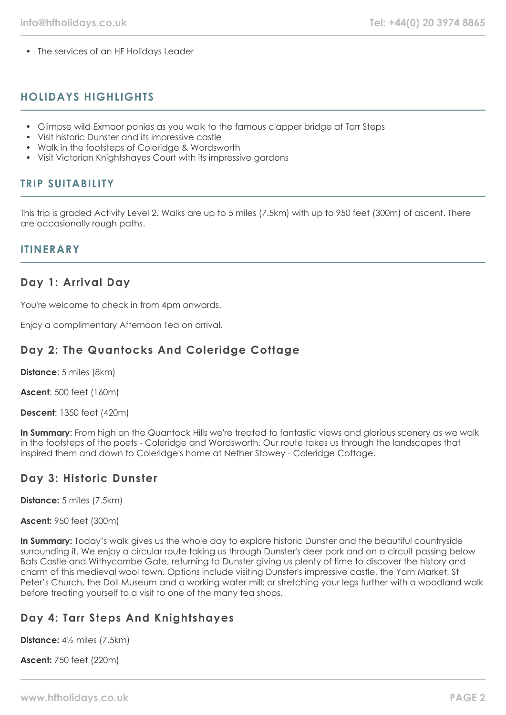• The services of an HF Holidays Leader

# **HOLIDAYS HIGHLIGHTS**

- Glimpse wild Exmoor ponies as you walk to the famous clapper bridge at Tarr Steps
- Visit historic Dunster and its impressive castle
- Walk in the footsteps of Coleridge & Wordsworth
- Visit Victorian Knightshayes Court with its impressive gardens

# **TRIP SUITABILITY**

This trip is graded Activity Level 2. Walks are up to 5 miles (7.5km) with up to 950 feet (300m) of ascent. There are occasionally rough paths.

## **ITINERARY**

# **Day 1: Arrival Day**

You're welcome to check in from 4pm onwards.

Enjoy a complimentary Afternoon Tea on arrival.

# **Day 2: The Quantocks And Coleridge Cottage**

**Distance**: 5 miles (8km)

**Ascent**: 500 feet (160m)

**Descent**: 1350 feet (420m)

**In Summary**: From high on the Quantock Hills we're treated to fantastic views and glorious scenery as we walk in the footsteps of the poets - Coleridge and Wordsworth. Our route takes us through the landscapes that inspired them and down to Coleridge's home at Nether Stowey - Coleridge Cottage.

## **Day 3: Historic Dunster**

**Distance:** 5 miles (7.5km)

**Ascent:** 950 feet (300m)

**In Summary:** Today's walk gives us the whole day to explore historic Dunster and the beautiful countryside surrounding it. We enjoy a circular route taking us through Dunster's deer park and on a circuit passing below Bats Castle and Withycombe Gate, returning to Dunster giving us plenty of time to discover the history and charm of this medieval wool town. Options include visiting Dunster's impressive castle, the Yarn Market, St Peter's Church, the Doll Museum and a working water mill; or stretching your legs further with a woodland walk before treating yourself to a visit to one of the many tea shops.

# **Day 4: Tarr Steps And Knightshayes**

**Distance:** 4½ miles (7.5km)

**Ascent:** 750 feet (220m)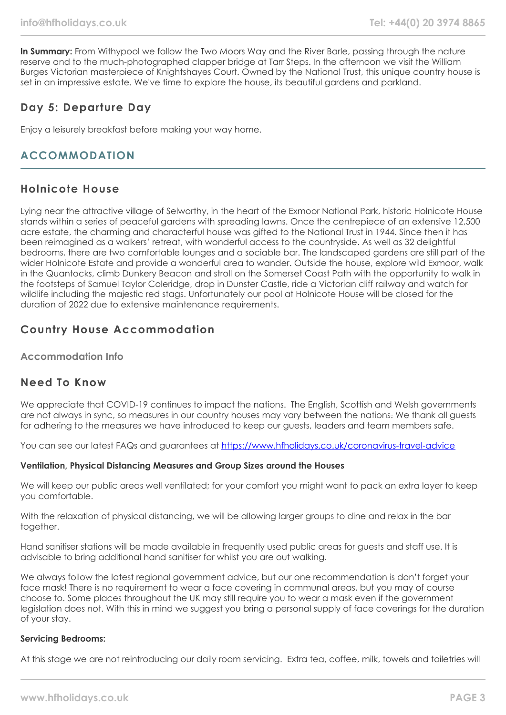In Summary: From Withypool we follow the Two Moors Way and the River Barle, passing through the nature reserve and to the much-photographed clapper bridge at Tarr Steps. In the afternoon we visit the William Burges Victorian masterpiece of Knightshayes Court. Owned by the National Trust, this unique country house is set in an impressive estate. We've time to explore the house, its beautiful gardens and parkland.

# **Day 5: Departure Day**

Enjoy a leisurely breakfast before making your way home.

# **ACCOMMODATION**

# **Holnicote House**

Lying near the attractive village of Selworthy, in the heart of the Exmoor National Park, historic Holnicote House stands within a series of peaceful gardens with spreading lawns. Once the centrepiece of an extensive 12,500 acre estate, the charming and characterful house was gifted to the National Trust in 1944. Since then it has been reimagined as a walkers' retreat, with wonderful access to the countryside. As well as 32 delightful bedrooms, there are two comfortable lounges and a sociable bar. The landscaped gardens are still part of the wider Holnicote Estate and provide a wonderful area to wander. Outside the house, explore wild Exmoor, walk in the Quantocks, climb Dunkery Beacon and stroll on the Somerset Coast Path with the opportunity to walk in the footsteps of Samuel Taylor Coleridge, drop in Dunster Castle, ride a Victorian cliff railway and watch for wildlife including the majestic red stags. Unfortunately our pool at Holnicote House will be closed for the duration of 2022 due to extensive maintenance requirements.

# **Country House Accommodation**

### **Accommodation Info**

# **Need To Know**

We appreciate that COVID-19 continues to impact the nations. The English, Scottish and Welsh governments are not always in sync, so measures in our country houses may vary between the nations. We thank all quests for adhering to the measures we have introduced to keep our guests, leaders and team members safe.

You can see our latest FAQs and guarantees at <https://www.hfholidays.co.uk/coronavirus-travel-advice>

#### **Ventilation, Physical Distancing Measures and Group Sizes around the Houses**

We will keep our public areas well ventilated; for your comfort you might want to pack an extra layer to keep you comfortable.

With the relaxation of physical distancing, we will be allowing larger groups to dine and relax in the bar together.

Hand sanitiser stations will be made available in frequently used public areas for guests and staff use. It is advisable to bring additional hand sanitiser for whilst you are out walking.

We always follow the latest regional government advice, but our one recommendation is don't forget your face mask! There is no requirement to wear a face covering in communal areas, but you may of course choose to. Some places throughout the UK may still require you to wear a mask even if the government legislation does not. With this in mind we suggest you bring a personal supply of face coverings for the duration of your stay.

#### **Servicing Bedrooms:**

At this stage we are not reintroducing our daily room servicing. Extra tea, coffee, milk, towels and toiletries will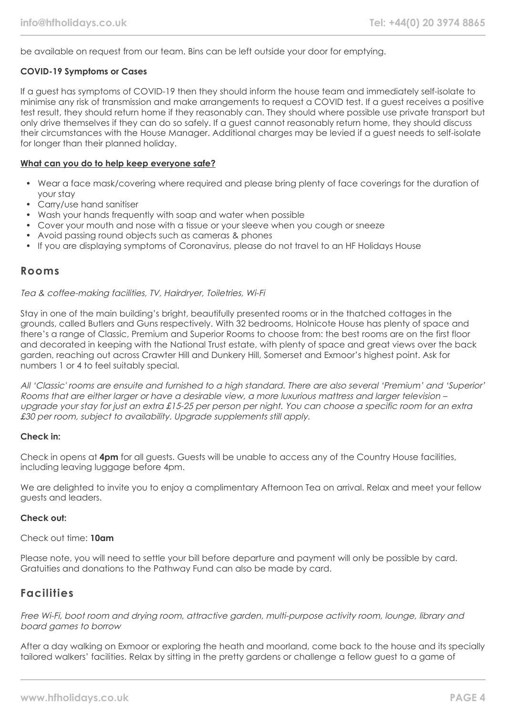be available on request from our team. Bins can be left outside your door for emptying.

#### **COVID-19 Symptoms or Cases**

If a guest has symptoms of COVID-19 then they should inform the house team and immediately self-isolate to minimise any risk of transmission and make arrangements to request a COVID test. If a guest receives a positive test result, they should return home if they reasonably can. They should where possible use private transport but only drive themselves if they can do so safely. If a guest cannot reasonably return home, they should discuss their circumstances with the House Manager. Additional charges may be levied if a guest needs to self-isolate for longer than their planned holiday.

#### **What can you do to help keep everyone safe?**

- Wear a face mask/covering where required and please bring plenty of face coverings for the duration of your stay
- Carry/use hand sanitiser
- Wash your hands frequently with soap and water when possible
- Cover your mouth and nose with a tissue or your sleeve when you cough or sneeze
- Avoid passing round objects such as cameras & phones
- If you are displaying symptoms of Coronavirus, please do not travel to an HF Holidays House

## **Rooms**

#### Tea & coffee-making facilities, TV, Hairdryer, Toiletries, Wi-Fi

Stay in one of the main building's bright, beautifully presented rooms or in the thatched cottages in the grounds, called Butlers and Guns respectively. With 32 bedrooms, Holnicote House has plenty of space and there's a range of Classic, Premium and Superior Rooms to choose from: the best rooms are on the first floor and decorated in keeping with the National Trust estate, with plenty of space and great views over the back garden, reaching out across Crawter Hill and Dunkery Hill, Somerset and Exmoor's highest point. Ask for numbers 1 or 4 to feel suitably special.

All 'Classic' rooms are ensuite and furnished to a high standard. There are also several 'Premium' and 'Superior' Rooms that are either larger or have a desirable view, a more luxurious mattress and larger television – upgrade your stay for just an extra £15-25 per person per night. You can choose a specific room for an extra £30 per room, subject to availability. Upgrade supplements still apply.

#### **Check in:**

Check in opens at **4pm** for all guests. Guests will be unable to access any of the Country House facilities, including leaving luggage before 4pm.

We are delighted to invite you to enjoy a complimentary Afternoon Tea on arrival. Relax and meet your fellow guests and leaders.

#### **Check out:**

Check out time: **10am**

Please note, you will need to settle your bill before departure and payment will only be possible by card. Gratuities and donations to the Pathway Fund can also be made by card.

## **Facilities**

Free Wi-Fi, boot room and drying room, attractive garden, multi-purpose activity room, lounge, library and board games to borrow

After a day walking on Exmoor or exploring the heath and moorland, come back to the house and its specially tailored walkers' facilities. Relax by sitting in the pretty gardens or challenge a fellow guest to a game of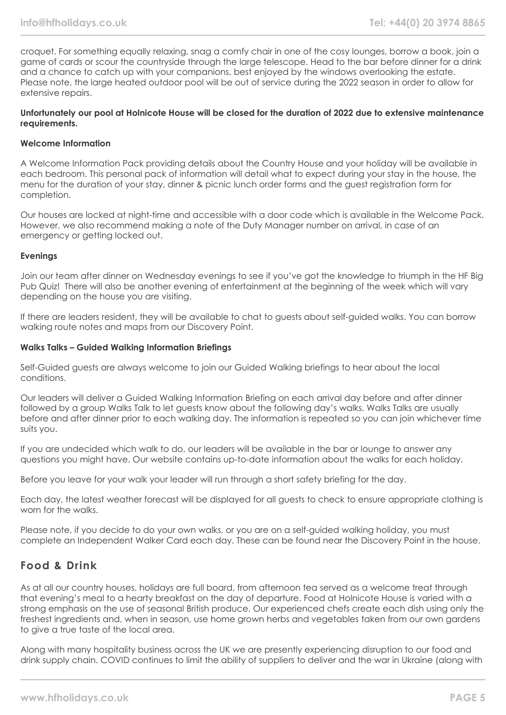croquet. For something equally relaxing, snag a comfy chair in one of the cosy lounges, borrow a book, join a game of cards or scour the countryside through the large telescope. Head to the bar before dinner for a drink and a chance to catch up with your companions, best enjoyed by the windows overlooking the estate. Please note, the large heated outdoor pool will be out of service during the 2022 season in order to allow for extensive repairs.

#### **Unfortunately our pool at Holnicote House will be closed for the duration of 2022 due to extensive maintenance requirements.**

#### **Welcome Information**

A Welcome Information Pack providing details about the Country House and your holiday will be available in each bedroom. This personal pack of information will detail what to expect during your stay in the house, the menu for the duration of your stay, dinner & picnic lunch order forms and the guest registration form for completion.

Our houses are locked at night-time and accessible with a door code which is available in the Welcome Pack. However, we also recommend making a note of the Duty Manager number on arrival, in case of an emergency or getting locked out.

#### **Evenings**

Join our team after dinner on Wednesday evenings to see if you've got the knowledge to triumph in the HF Big Pub Quiz! There will also be another evening of entertainment at the beginning of the week which will vary depending on the house you are visiting.

If there are leaders resident, they will be available to chat to guests about self-guided walks. You can borrow walking route notes and maps from our Discovery Point.

#### **Walks Talks – Guided Walking Information Briefings**

Self-Guided guests are always welcome to join our Guided Walking briefings to hear about the local conditions.

Our leaders will deliver a Guided Walking Information Briefing on each arrival day before and after dinner followed by a group Walks Talk to let guests know about the following day's walks. Walks Talks are usually before and after dinner prior to each walking day. The information is repeated so you can join whichever time suits you.

If you are undecided which walk to do, our leaders will be available in the bar or lounge to answer any questions you might have. Our website contains up-to-date information about the walks for each holiday.

Before you leave for your walk your leader will run through a short safety briefing for the day.

Each day, the latest weather forecast will be displayed for all guests to check to ensure appropriate clothing is worn for the walks.

Please note, if you decide to do your own walks, or you are on a self-guided walking holiday, you must complete an Independent Walker Card each day. These can be found near the Discovery Point in the house.

## **Food & Drink**

As at all our country houses, holidays are full board, from afternoon tea served as a welcome treat through that evening's meal to a hearty breakfast on the day of departure. Food at Holnicote House is varied with a strong emphasis on the use of seasonal British produce. Our experienced chefs create each dish using only the freshest ingredients and, when in season, use home grown herbs and vegetables taken from our own gardens to give a true taste of the local area.

Along with many hospitality business across the UK we are presently experiencing disruption to our food and drink supply chain. COVID continues to limit the ability of suppliers to deliver and the war in Ukraine (along with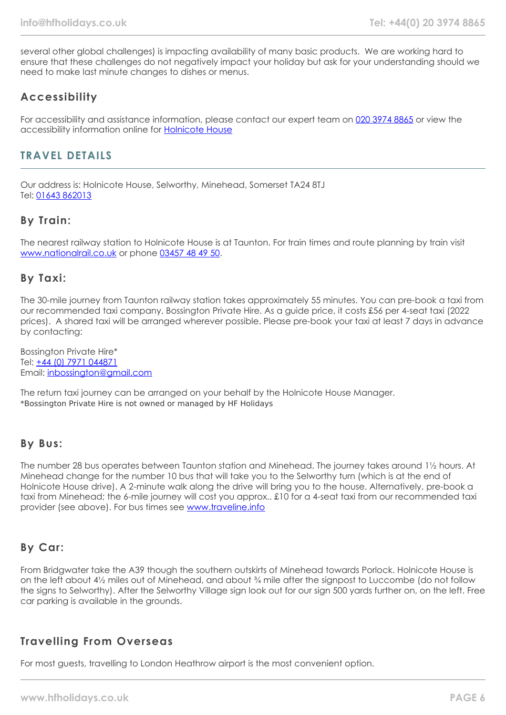several other global challenges) is impacting availability of many basic products. We are working hard to ensure that these challenges do not negatively impact your holiday but ask for your understanding should we need to make last minute changes to dishes or menus.

# **Accessibility**

For accessibility and assistance information, please contact our expert team on [020 3974 8865](tel:02039748865) or view the accessibility information online for [Holnicote House](https://www.hfholidays.co.uk/images/Documents/accessibility_statements/holnicote-house---accessibility-information---update-mar-2021.pdf)

# **TRAVEL DETAILS**

Our address is: Holnicote House, Selworthy, Minehead, Somerset TA24 8TJ Tel: [01643 862013](tel:01643862013)

# **By Train:**

The nearest railway station to Holnicote House is at Taunton. For train times and route planning by train visit [www.nationalrail.co.uk](https://www.nationalrail.co.uk/) or phone [03457 48 49 50.](tel:03457484950)

## **By Taxi:**

The 30-mile journey from Taunton railway station takes approximately 55 minutes. You can pre-book a taxi from our recommended taxi company, Bossington Private Hire. As a guide price, it costs £56 per 4-seat taxi (2022 prices). A shared taxi will be arranged wherever possible. Please pre-book your taxi at least 7 days in advance by contacting:

Bossington Private Hire\* Tel: [+44 \(0\) 7971 044871](tel:07971044871) Email: [inbossington@gmail.com](mailto:mail:inbossington@gmail.com)

The return taxi journey can be arranged on your behalf by the Holnicote House Manager. \*Bossington Private Hire is not owned or managed by HF Holidays

## **By Bus:**

The number 28 bus operates between Taunton station and Minehead. The journey takes around 1½ hours. At Minehead change for the number 10 bus that will take you to the Selworthy turn (which is at the end of Holnicote House drive). A 2-minute walk along the drive will bring you to the house. Alternatively, pre-book a taxi from Minehead; the 6-mile journey will cost you approx.. £10 for a 4-seat taxi from our recommended taxi provider (see above). For bus times see [www.traveline.info](https://www.traveline.info/)

## **By Car:**

From Bridgwater take the A39 though the southern outskirts of Minehead towards Porlock. Holnicote House is on the left about 4½ miles out of Minehead, and about ¾ mile after the signpost to Luccombe (do not follow the signs to Selworthy). After the Selworthy Village sign look out for our sign 500 yards further on, on the left. Free car parking is available in the grounds.

## **Travelling From Overseas**

For most guests, travelling to London Heathrow airport is the most convenient option.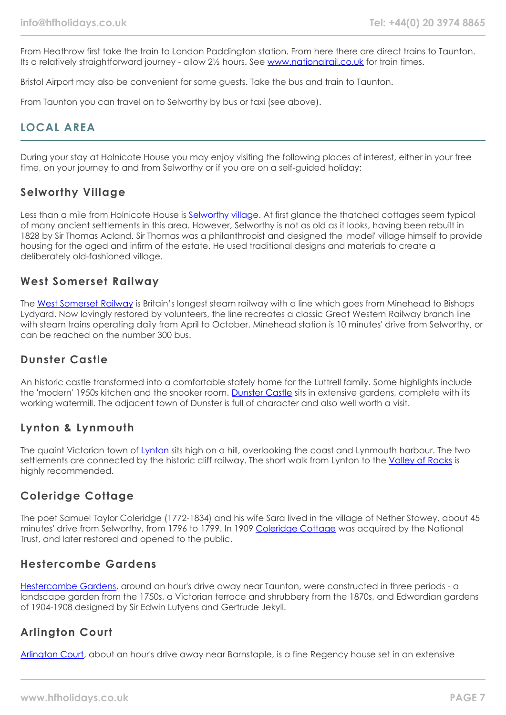From Heathrow first take the train to London Paddington station. From here there are direct trains to Taunton. Its a relatively straightforward journey - allow 2½ hours. See [www.nationalrail.co.uk](https://www.nationalrail.co.uk/) for train times.

Bristol Airport may also be convenient for some guests. Take the bus and train to Taunton.

From Taunton you can travel on to Selworthy by bus or taxi (see above).

# **LOCAL AREA**

During your stay at Holnicote House you may enjoy visiting the following places of interest, either in your free time, on your journey to and from Selworthy or if you are on a self-guided holiday:

## **Selworthy Village**

Less than a mile from Holnicote House is [Selworthy village](https://www.visit-exmoor.co.uk/point-of-interest/selworthy). At first glance the thatched cottages seem typical of many ancient settlements in this area. However, Selworthy is not as old as it looks, having been rebuilt in 1828 by Sir Thomas Acland. Sir Thomas was a philanthropist and designed the 'model' village himself to provide housing for the aged and infirm of the estate. He used traditional designs and materials to create a deliberately old-fashioned village.

## **West Somerset Railway**

The [West Somerset Railway](https://www.west-somerset-railway.co.uk/) is Britain's longest steam railway with a line which goes from Minehead to Bishops Lydyard. Now lovingly restored by volunteers, the line recreates a classic Great Western Railway branch line with steam trains operating daily from April to October. Minehead station is 10 minutes' drive from Selworthy, or can be reached on the number 300 bus.

## **Dunster Castle**

An historic castle transformed into a comfortable stately home for the Luttrell family. Some highlights include the 'modern' 1950s kitchen and the snooker room. [Dunster Castle](https://www.nationaltrust.org.uk/dunster-castle-and-watermill) sits in extensive gardens, complete with its working watermill. The adjacent town of Dunster is full of character and also well worth a visit.

## **Lynton & Lynmouth**

The quaint Victorian town of [Lynton](https://visitlyntonandlynmouth.com/) sits high on a hill, overlooking the coast and Lynmouth harbour. The two settlements are connected by the historic cliff railway. The short walk from Lynton to the [Valley of Rocks](https://www.visit-exmoor.co.uk/point-of-interest/valley-of-rocks) is highly recommended.

## **Coleridge Cottage**

The poet Samuel Taylor Coleridge (1772-1834) and his wife Sara lived in the village of Nether Stowey, about 45 minutes' drive from Selworthy, from 1796 to 1799. In 1909 [Coleridge Cottage](https://www.nationaltrust.org.uk/coleridge-cottage) was acquired by the National Trust, and later restored and opened to the public.

## **Hestercombe Gardens**

[Hestercombe Gardens,](https://www.hestercombe.com/) around an hour's drive away near Taunton, were constructed in three periods - a landscape garden from the 1750s, a Victorian terrace and shrubbery from the 1870s, and Edwardian gardens of 1904-1908 designed by Sir Edwin Lutyens and Gertrude Jekyll.

## **Arlington Court**

[Arlington Court,](https://www.nationaltrust.org.uk/arlington-court-and-the-national-trust-carriage-museum) about an hour's drive away near Barnstaple, is a fine Regency house set in an extensive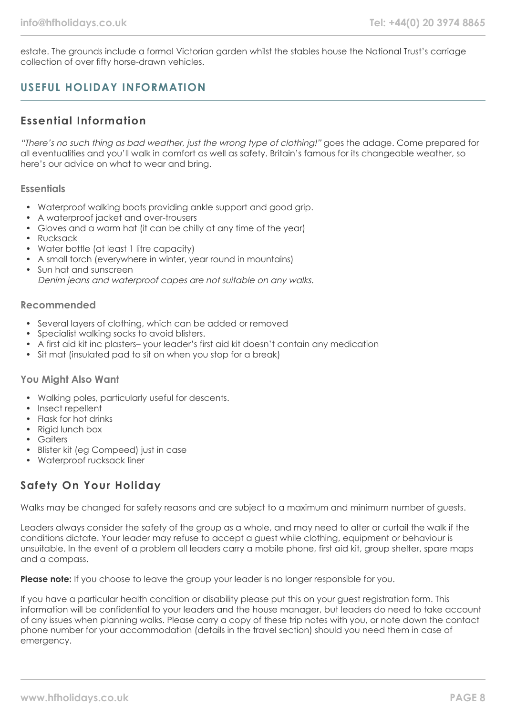estate. The grounds include a formal Victorian garden whilst the stables house the National Trust's carriage collection of over fifty horse-drawn vehicles.

# **USEFUL HOLIDAY INFORMATION**

# **Essential Information**

"There's no such thing as bad weather, just the wrong type of clothing!" goes the adage. Come prepared for all eventualities and you'll walk in comfort as well as safety. Britain's famous for its changeable weather, so here's our advice on what to wear and bring.

### **Essentials**

- Waterproof walking boots providing ankle support and good grip.
- A waterproof jacket and over-trousers
- Gloves and a warm hat (it can be chilly at any time of the year)
- Rucksack
- Water bottle (at least 1 litre capacity)
- A small torch (everywhere in winter, year round in mountains)
- Sun hat and sunscreen Denim jeans and waterproof capes are not suitable on any walks.

### **Recommended**

- Several layers of clothing, which can be added or removed
- Specialist walking socks to avoid blisters.
- A first aid kit inc plasters– your leader's first aid kit doesn't contain any medication
- Sit mat (insulated pad to sit on when you stop for a break)

#### **You Might Also Want**

- Walking poles, particularly useful for descents.
- Insect repellent
- Flask for hot drinks
- Rigid lunch box
- Gaiters
- Blister kit (eg Compeed) just in case
- Waterproof rucksack liner

# **Safety On Your Holiday**

Walks may be changed for safety reasons and are subject to a maximum and minimum number of guests.

Leaders always consider the safety of the group as a whole, and may need to alter or curtail the walk if the conditions dictate. Your leader may refuse to accept a guest while clothing, equipment or behaviour is unsuitable. In the event of a problem all leaders carry a mobile phone, first aid kit, group shelter, spare maps and a compass.

**Please note:** If you choose to leave the group your leader is no longer responsible for you.

If you have a particular health condition or disability please put this on your guest registration form. This information will be confidential to your leaders and the house manager, but leaders do need to take account of any issues when planning walks. Please carry a copy of these trip notes with you, or note down the contact phone number for your accommodation (details in the travel section) should you need them in case of emergency.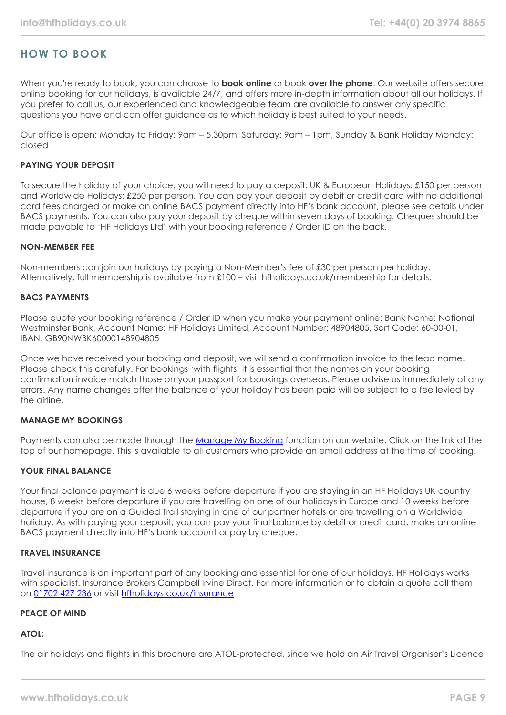# **HOW TO BOOK**

When you're ready to book, you can choose to **book online** or book **over the phone**. Our website offers secure online booking for our holidays, is available 24/7, and offers more in-depth information about all our holidays. If you prefer to call us, our experienced and knowledgeable team are available to answer any specific questions you have and can offer guidance as to which holiday is best suited to your needs.

Our office is open: Monday to Friday: 9am – 5.30pm, Saturday: 9am – 1pm, Sunday & Bank Holiday Monday: closed

#### **PAYING YOUR DEPOSIT**

To secure the holiday of your choice, you will need to pay a deposit: UK & European Holidays: £150 per person and Worldwide Holidays: £250 per person. You can pay your deposit by debit or credit card with no additional card fees charged or make an online BACS payment directly into HF's bank account, please see details under BACS payments. You can also pay your deposit by cheque within seven days of booking. Cheques should be made payable to 'HF Holidays Ltd' with your booking reference / Order ID on the back.

#### **NON-MEMBER FEE**

Non-members can join our holidays by paying a Non-Member's fee of £30 per person per holiday. Alternatively, full membership is available from £100 – visit hfholidays.co.uk/membership for details.

#### **BACS PAYMENTS**

Please quote your booking reference / Order ID when you make your payment online: Bank Name: National Westminster Bank, Account Name: HF Holidays Limited, Account Number: 48904805, Sort Code: 60-00-01, IBAN: GB90NWBK60000148904805

Once we have received your booking and deposit, we will send a confirmation invoice to the lead name. Please check this carefully. For bookings 'with flights' it is essential that the names on your booking confirmation invoice match those on your passport for bookings overseas. Please advise us immediately of any errors. Any name changes after the balance of your holiday has been paid will be subject to a fee levied by the airline.

#### **MANAGE MY BOOKINGS**

Payments can also be made through the [Manage My Booking](https://www.hfholidays.co.uk/about-us/bookings/my-booking) function on our website. Click on the link at the top of our homepage. This is available to all customers who provide an email address at the time of booking.

#### **YOUR FINAL BALANCE**

Your final balance payment is due 6 weeks before departure if you are staying in an HF Holidays UK country house, 8 weeks before departure if you are travelling on one of our holidays in Europe and 10 weeks before departure if you are on a Guided Trail staying in one of our partner hotels or are travelling on a Worldwide holiday. As with paying your deposit, you can pay your final balance by debit or credit card, make an online BACS payment directly into HF's bank account or pay by cheque.

#### **TRAVEL INSURANCE**

Travel insurance is an important part of any booking and essential for one of our holidays. HF Holidays works with specialist. Insurance Brokers Campbell Irvine Direct. For more information or to obtain a quote call them on [01702 427 236](tel:01702427236) or visit [hfholidays.co.uk/insurance](https://www.hfholidays.co.uk/about-us/bookings/insurance)

#### **PEACE OF MIND**

#### **ATOL:**

The air holidays and flights in this brochure are ATOL-protected, since we hold an Air Travel Organiser's Licence